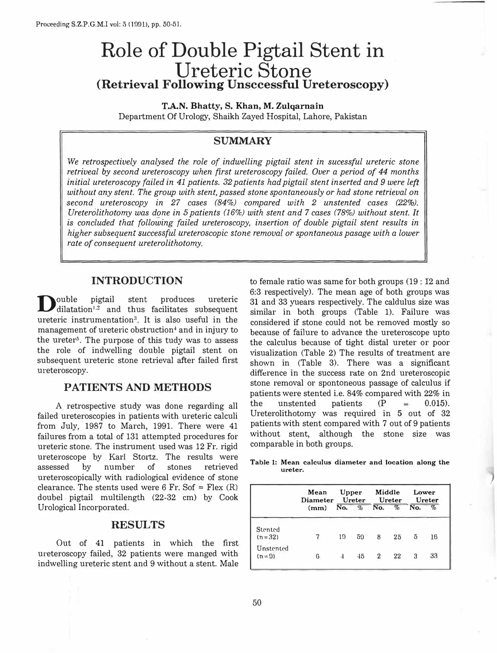# Role of Double Pigtail Stent in Ureteric Stone **(Retrieval Following Unsccessful Ureteroscopy)**

**T .A.N. Bhatty, S. Khan, M. Zulqarnain**  Department Of Urology, Shaikh Zayed Hospital, Lahore, Pakistan

## SUMMARY

*We retrospectively analysed the role of indwelling pigtail stent in sucessful ureteric stone retriveal by second ureteroscopy when first ureteroscopy failed. Over a period of 44 months initial ureteroscopy failed in 41 patients. 32 patients had pigtail stent inserted and 9 were left without any stent. The group with stent, passed stone spontaneously or had stone retrieval on second ureteroscopy in 27 cases (84%) compared with 2 unstented cases (22%). Ureterolithotomy was done in 5 patients (16%) with stent and 7 cases (78%) without stent. It is concluded that following failed ureteroscopy, insertion of double pigtail stent results in higher subsequent successful ureteroscopic stone removal or spontaneous pasage with a lower rate of consequent ureterolithotomy.* 

### **INTRODUCTION**

 $\sum$ ouble pigtail stent produces ureteric<br>dilatation<sup>1.2</sup> and thus facilitates subsequent dilatation<sup>1.2</sup> and thus facilitates subsequent ureteric instrumentation<sup>3</sup>. It is also useful in the management of ureteric obstruction<sup>4</sup> and in injury to the ureter<sup>5</sup> . The purpose of this tudy was to assess the role of indwelling double pigtail stent on subsequent ureteric stone retrieval after failed first ureteroscopy.

## **PATIENTS AND METHODS**

A retrospective study was done regarding all failed ureteroscopies in patients with ureteric calculi from July, 1987 to March, 1991. There were 41 failures from a total of 131 attempted procedures for ureteric stone. The instrument used was 12 Fr. rigid ureteroscope by Karl Stortz. The results were assessed by number of stones retrieved ureteroscopically with radiological evidence of stone clearance. The stents used were  $6$  Fr. Sof = Flex  $(R)$ doubel pigtail multilength (22-32 cm) by Cook Urological Incorporated.

### **RESULTS**

Out of 41 patients in which the first ureteroscopy failed, 32 patients were manged with indwelling ureteric stent and 9 without a stent. Male to female ratio was same for both groups (19 : 12 and 6:3 respectively). The mean age of both groups was 31 and 33 yuears respectively. The caldulus size was similar in both groups (Table 1). Failure was considered if stone could not be removed mostly so because of failure to advance the ureteroscope upto the calculus because of tight distal ureter or poor visualization (Table 2) The results of treatment are shown in (Table 3). There was a significant difference in the success rate on 2nd ureteroscopic stone removal or spontoneous passage of calculus if patients were stented i.e. 84% compared with 22% in the unstented patients  $(P = 0.015)$ . Ureterolithotomy was required in **5** out of 32 patients with stent compared with 7 out of 9 patients without stent, although the stone size was comparable in both groups.

**Table 1: Mean calculus diameter and location along the ureter.** 

|                       | Mean | Upper |    | Middle<br>Diameter Ureter Ureter Ureter |              | Lower          |      |
|-----------------------|------|-------|----|-----------------------------------------|--------------|----------------|------|
|                       | (mm) |       |    | No. % No.                               | $\%$         | No.            | $\%$ |
| Stented<br>$(n = 32)$ |      | 19    | 59 | 8                                       | $25^{\circ}$ | $\overline{5}$ | 16   |
| Unstented<br>$(n=9)$  | 6    |       | 45 | $\overline{2}$                          | 22           | 3              | 33   |